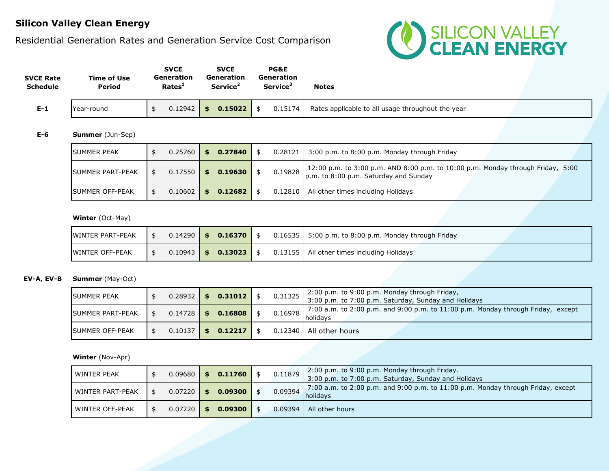# **Silicon Valley Clean Energy**

### Residential Generation Rates and Generation Service Cost Comparison



| <b>SVCE Rate</b><br><b>Schedule</b> | Time of Use<br>Period | <b>SVCE</b><br>Generation<br>Rates <sup>1</sup> | <b>SVCE</b><br>Generation<br>Service <sup>2</sup> | <b>PG&amp;E</b><br>Generation<br>Service <sup>3</sup> | Notes                                             |  |
|-------------------------------------|-----------------------|-------------------------------------------------|---------------------------------------------------|-------------------------------------------------------|---------------------------------------------------|--|
| $E-1$                               | Year-round            | 0.12942                                         | 0.15022<br>\$                                     | 0.15174                                               | Rates applicable to all usage throughout the year |  |

#### **E-6 Summer** (Jun-Sep)

| <b>ISUMMER PEAK</b>     | $0.25760$ | \$<br>0.27840 |  | $0.28121$ 3:00 p.m. to 8:00 p.m. Monday through Friday                                                                             |
|-------------------------|-----------|---------------|--|------------------------------------------------------------------------------------------------------------------------------------|
| <b>SUMMER PART-PEAK</b> | 0.17550   | \$<br>0.19630 |  | 12:00 p.m. to 3:00 p.m. AND 8:00 p.m. to 10:00 p.m. Monday through Friday, 5:00<br>$0.19828$ p.m. to 8:00 p.m. Saturday and Sunday |
| <b>ISUMMER OFF-PEAK</b> | 0.10602   | \$<br>0.12682 |  | 0.12810   All other times including Holidays                                                                                       |

#### **Winter** (Oct-May)

| <b>WINTER PART-PEAK</b> |  | $0.14290$   \$ 0.16370 |  | $0.16535$   5:00 p.m. to 8:00 p.m. Monday through Friday |
|-------------------------|--|------------------------|--|----------------------------------------------------------|
| <b>WINTER OFF-PEAK</b>  |  | $0.10943$   \$ 0.13023 |  | 0.13155   All other times including Holidays             |

### **EV-A, EV-B Summer** (May-Oct)

| <b>SUMMER PEAK</b>      | $0.28932$ \$   | 0.31012 | 0.31325 | 2:00 p.m. to 9:00 p.m. Monday through Friday,<br>3:00 p.m. to 7:00 p.m. Saturday, Sunday and Holidays |
|-------------------------|----------------|---------|---------|-------------------------------------------------------------------------------------------------------|
| <b>SUMMER PART-PEAK</b> | $0.14728$ \$   | 0.16808 | 0.16978 | 7:00 a.m. to 2:00 p.m. and 9:00 p.m. to 11:00 p.m. Monday through Friday, except<br>holidavs          |
| <b>ISUMMER OFF-PEAK</b> | $0.10137$   \$ | 0.12217 |         | 0.12340   All other hours                                                                             |

#### **Winter** (Nov-Apr)

| WINTER PEAK      | 0.09680 | 0.11760 | 0.11879 | 2:00 p.m. to 9:00 p.m. Monday through Friday.<br>3:00 p.m. to 7:00 p.m. Saturday, Sunday and Holidays |
|------------------|---------|---------|---------|-------------------------------------------------------------------------------------------------------|
| WINTER PART-PEAK | 0.07220 | 0.09300 | 0.09394 | 7:00 a.m. to 2:00 p.m. and 9:00 p.m. to 11:00 p.m. Monday through Friday, except<br><b>holidavs</b>   |
| WINTER OFF-PEAK  | 0.07220 | 0.09300 | 0.09394 | All other hours                                                                                       |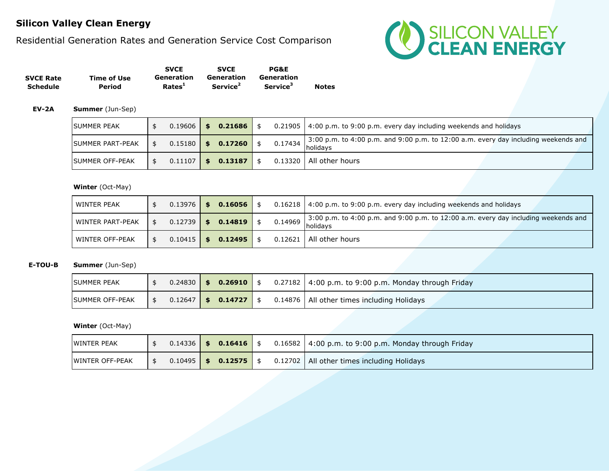# **Silicon Valley Clean Energy**

Residential Generation Rates and Generation Service Cost Comparison



|                  |             | <b>SVCE</b>        | <b>SVCE</b>          | <b>PG&amp;E</b>      |              |
|------------------|-------------|--------------------|----------------------|----------------------|--------------|
| <b>SVCE Rate</b> | Time of Use | Generation         | Generation           | Generation           | <b>Notes</b> |
| Schedule         | Period      | Rates <sup>1</sup> | Service <sup>2</sup> | Service <sup>3</sup> |              |

#### **EV-2A Summer** (Jun-Sep)

| <b>SUMMER PEAK</b>      | $0.19606$   \$ |      | 0.21686 |         | 0.21905   4:00 p.m. to 9:00 p.m. every day including weekends and holidays                               |
|-------------------------|----------------|------|---------|---------|----------------------------------------------------------------------------------------------------------|
| <b>SUMMER PART-PEAK</b> | $0.15180$ \$   |      | 0.17260 | 0.17434 | 3:00 p.m. to 4:00 p.m. and 9:00 p.m. to 12:00 a.m. every day including weekends and<br><b>I</b> holidavs |
| <b>ISUMMER OFF-PEAK</b> | 0.11107        | I \$ | 0.13187 |         | 0.13320   All other hours                                                                                |

### **Winter** (Oct-May)

| WINTER PEAK             | $0.13976$   \$ | 0.16056              |         | $0.16218$   4:00 p.m. to 9:00 p.m. every day including weekends and holidays                    |
|-------------------------|----------------|----------------------|---------|-------------------------------------------------------------------------------------------------|
| <b>WINTER PART-PEAK</b> | $0.12739$   \$ | 0.14819              | 0.14969 | 3:00 p.m. to 4:00 p.m. and 9:00 p.m. to 12:00 a.m. every day including weekends and<br>holidavs |
| <b>WINTER OFF-PEAK</b>  |                | $0.10415$ \$ 0.12495 |         | 0.12621   All other hours                                                                       |

### **E-TOU-B Summer** (Jun-Sep)

| <b>SUMMER PEAK</b>     |  | $0.24830$ \$ 0.26910        |  | 0.27182   4:00 p.m. to 9:00 p.m. Monday through Friday |
|------------------------|--|-----------------------------|--|--------------------------------------------------------|
| <b>SUMMER OFF-PEAK</b> |  | $0.12647$   \$ 0.14727   \$ |  | 0.14876   All other times including Holidays           |

#### **Winter** (Oct-May)

| <b>WINTER PEAK</b>     |  | $0.14336$   \$ 0.16416   \$ |  | $0.16582$   4:00 p.m. to 9:00 p.m. Monday through Friday |
|------------------------|--|-----------------------------|--|----------------------------------------------------------|
| <b>WINTER OFF-PEAK</b> |  | $0.10495$ \$ 0.12575        |  | 0.12702   All other times including Holidays             |